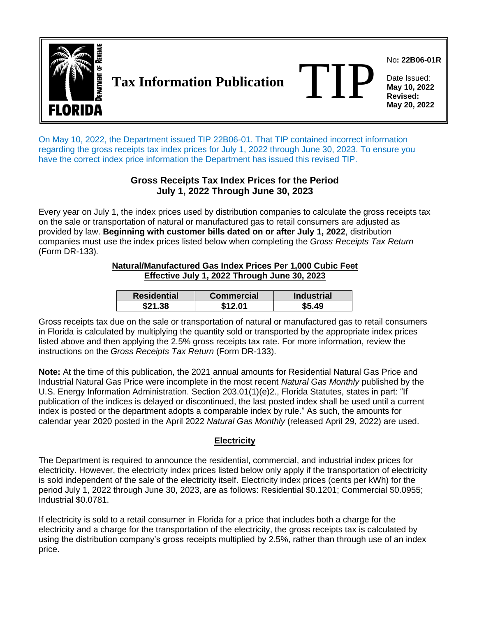

**Tax Information Publication** 

No**: 22B06-01R**

Date Issued: **May 10, 2022 Revised: May 20, 2022**

On May 10, 2022, the Department issued TIP 22B06-01. That TIP contained incorrect information regarding the gross receipts tax index prices for July 1, 2022 through June 30, 2023. To ensure you have the correct index price information the Department has issued this revised TIP.

# **Gross Receipts Tax Index Prices for the Period July 1, 2022 Through June 30, 2023**

Every year on July 1, the index prices used by distribution companies to calculate the gross receipts tax on the sale or transportation of natural or manufactured gas to retail consumers are adjusted as provided by law. **Beginning with customer bills dated on or after July 1, 2022**, distribution companies must use the index prices listed below when completing the *Gross Receipts Tax Return*  (Form DR-133)*.* 

### **Natural/Manufactured Gas Index Prices Per 1,000 Cubic Feet Effective July 1, 2022 Through June 30, 2023**

| <b>Residential</b> | <b>Commercial</b> | <b>Industrial</b> |
|--------------------|-------------------|-------------------|
| \$21.38            | \$12.01           | \$5.49            |

Gross receipts tax due on the sale or transportation of natural or manufactured gas to retail consumers in Florida is calculated by multiplying the quantity sold or transported by the appropriate index prices listed above and then applying the 2.5% gross receipts tax rate. For more information, review the instructions on the *Gross Receipts Tax Return* (Form DR-133).

**Note:** At the time of this publication, the 2021 annual amounts for Residential Natural Gas Price and Industrial Natural Gas Price were incomplete in the most recent *Natural Gas Monthly* published by the U.S. Energy Information Administration. Section 203.01(1)(e)2., Florida Statutes, states in part: "If publication of the indices is delayed or discontinued, the last posted index shall be used until a current index is posted or the department adopts a comparable index by rule." As such, the amounts for calendar year 2020 posted in the April 2022 *Natural Gas Monthly* (released April 29, 2022) are used.

## **Electricity**

The Department is required to announce the residential, commercial, and industrial index prices for electricity. However, the electricity index prices listed below only apply if the transportation of electricity is sold independent of the sale of the electricity itself. Electricity index prices (cents per kWh) for the period July 1, 2022 through June 30, 2023, are as follows: Residential \$0.1201; Commercial \$0.0955; Industrial \$0.0781.

If electricity is sold to a retail consumer in Florida for a price that includes both a charge for the electricity and a charge for the transportation of the electricity, the gross receipts tax is calculated by using the distribution company's gross receipts multiplied by 2.5%, rather than through use of an index price.